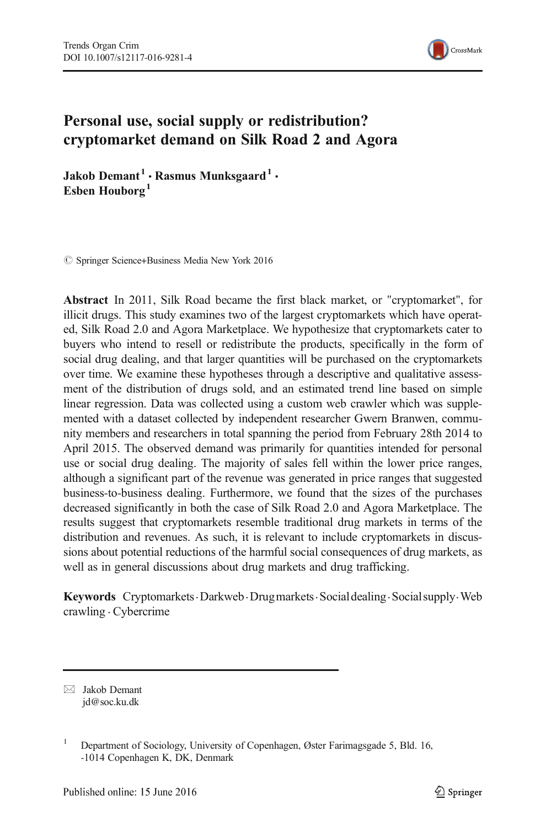

# Personal use, social supply or redistribution? cryptomarket demand on Silk Road 2 and Agora

Jakob Demant<sup>1</sup>  $\cdot$  Rasmus Munksgaard<sup>1</sup>  $\cdot$ Esben Houborg<sup>1</sup>

 $\oslash$  Springer Science+Business Media New York 2016

Abstract In 2011, Silk Road became the first black market, or "cryptomarket", for illicit drugs. This study examines two of the largest cryptomarkets which have operated, Silk Road 2.0 and Agora Marketplace. We hypothesize that cryptomarkets cater to buyers who intend to resell or redistribute the products, specifically in the form of social drug dealing, and that larger quantities will be purchased on the cryptomarkets over time. We examine these hypotheses through a descriptive and qualitative assessment of the distribution of drugs sold, and an estimated trend line based on simple linear regression. Data was collected using a custom web crawler which was supplemented with a dataset collected by independent researcher Gwern Branwen, community members and researchers in total spanning the period from February 28th 2014 to April 2015. The observed demand was primarily for quantities intended for personal use or social drug dealing. The majority of sales fell within the lower price ranges, although a significant part of the revenue was generated in price ranges that suggested business-to-business dealing. Furthermore, we found that the sizes of the purchases decreased significantly in both the case of Silk Road 2.0 and Agora Marketplace. The results suggest that cryptomarkets resemble traditional drug markets in terms of the distribution and revenues. As such, it is relevant to include cryptomarkets in discussions about potential reductions of the harmful social consequences of drug markets, as well as in general discussions about drug markets and drug trafficking.

Keywords Cryptomarkets.Darkweb.Drugmarkets.Socialdealing.Socialsupply.Web crawling . Cybercrime

 $\boxtimes$  Jakob Demant jd@soc.ku.dk

<sup>&</sup>lt;sup>1</sup> Department of Sociology, University of Copenhagen, Øster Farimagsgade 5, Bld. 16, -1014 Copenhagen K, DK, Denmark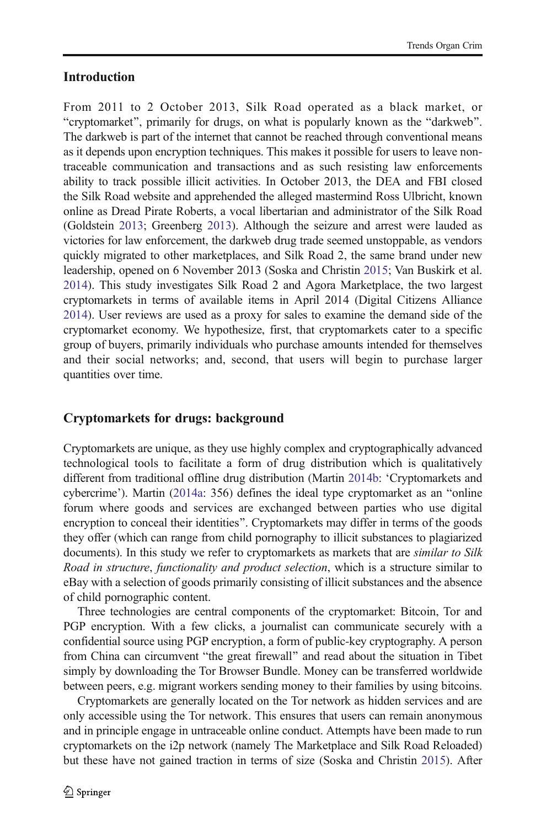### Introduction

From 2011 to 2 October 2013, Silk Road operated as a black market, or "cryptomarket", primarily for drugs, on what is popularly known as the "darkweb". The darkweb is part of the internet that cannot be reached through conventional means as it depends upon encryption techniques. This makes it possible for users to leave nontraceable communication and transactions and as such resisting law enforcements ability to track possible illicit activities. In October 2013, the DEA and FBI closed the Silk Road website and apprehended the alleged mastermind Ross Ulbricht, known online as Dread Pirate Roberts, a vocal libertarian and administrator of the Silk Road (Goldstein [2013](#page-18-0); Greenberg [2013](#page-18-0)). Although the seizure and arrest were lauded as victories for law enforcement, the darkweb drug trade seemed unstoppable, as vendors quickly migrated to other marketplaces, and Silk Road 2, the same brand under new leadership, opened on 6 November 2013 (Soska and Christin [2015](#page-19-0); Van Buskirk et al. [2014\)](#page-19-0). This study investigates Silk Road 2 and Agora Marketplace, the two largest cryptomarkets in terms of available items in April 2014 (Digital Citizens Alliance [2014\)](#page-17-0). User reviews are used as a proxy for sales to examine the demand side of the cryptomarket economy. We hypothesize, first, that cryptomarkets cater to a specific group of buyers, primarily individuals who purchase amounts intended for themselves and their social networks; and, second, that users will begin to purchase larger quantities over time.

### Cryptomarkets for drugs: background

Cryptomarkets are unique, as they use highly complex and cryptographically advanced technological tools to facilitate a form of drug distribution which is qualitatively different from traditional offline drug distribution (Martin [2014b:](#page-18-0) 'Cryptomarkets and cybercrime'). Martin ([2014a](#page-18-0): 356) defines the ideal type cryptomarket as an "online forum where goods and services are exchanged between parties who use digital encryption to conceal their identities". Cryptomarkets may differ in terms of the goods they offer (which can range from child pornography to illicit substances to plagiarized documents). In this study we refer to cryptomarkets as markets that are *similar to Silk* Road in structure, functionality and product selection, which is a structure similar to eBay with a selection of goods primarily consisting of illicit substances and the absence of child pornographic content.

Three technologies are central components of the cryptomarket: Bitcoin, Tor and PGP encryption. With a few clicks, a journalist can communicate securely with a confidential source using PGP encryption, a form of public-key cryptography. A person from China can circumvent "the great firewall" and read about the situation in Tibet simply by downloading the Tor Browser Bundle. Money can be transferred worldwide between peers, e.g. migrant workers sending money to their families by using bitcoins.

Cryptomarkets are generally located on the Tor network as hidden services and are only accessible using the Tor network. This ensures that users can remain anonymous and in principle engage in untraceable online conduct. Attempts have been made to run cryptomarkets on the i2p network (namely The Marketplace and Silk Road Reloaded) but these have not gained traction in terms of size (Soska and Christin [2015\)](#page-19-0). After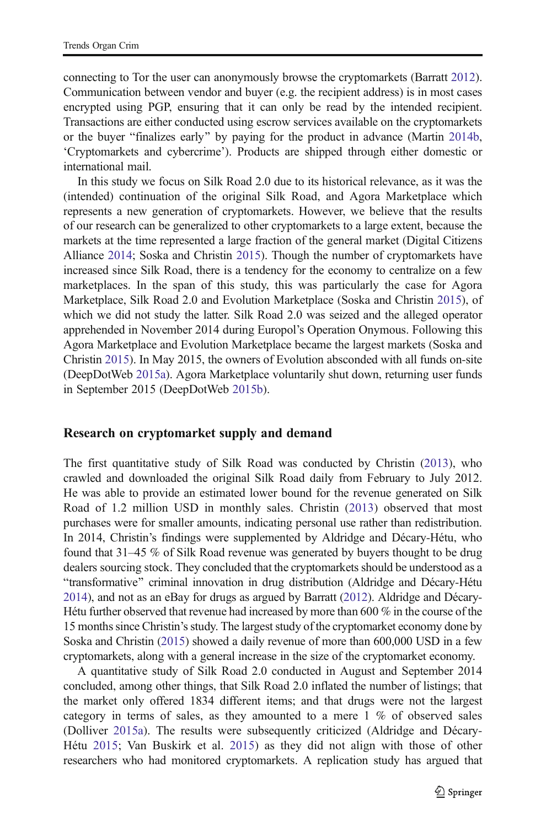connecting to Tor the user can anonymously browse the cryptomarkets (Barratt [2012\)](#page-18-0). Communication between vendor and buyer (e.g. the recipient address) is in most cases encrypted using PGP, ensuring that it can only be read by the intended recipient. Transactions are either conducted using escrow services available on the cryptomarkets or the buyer "finalizes early" by paying for the product in advance (Martin [2014b,](#page-18-0) 'Cryptomarkets and cybercrime'). Products are shipped through either domestic or international mail.

In this study we focus on Silk Road 2.0 due to its historical relevance, as it was the (intended) continuation of the original Silk Road, and Agora Marketplace which represents a new generation of cryptomarkets. However, we believe that the results of our research can be generalized to other cryptomarkets to a large extent, because the markets at the time represented a large fraction of the general market (Digital Citizens Alliance [2014](#page-17-0); Soska and Christin [2015\)](#page-19-0). Though the number of cryptomarkets have increased since Silk Road, there is a tendency for the economy to centralize on a few marketplaces. In the span of this study, this was particularly the case for Agora Marketplace, Silk Road 2.0 and Evolution Marketplace (Soska and Christin [2015\)](#page-19-0), of which we did not study the latter. Silk Road 2.0 was seized and the alleged operator apprehended in November 2014 during Europol's Operation Onymous. Following this Agora Marketplace and Evolution Marketplace became the largest markets (Soska and Christin [2015](#page-19-0)). In May 2015, the owners of Evolution absconded with all funds on-site (DeepDotWeb [2015a](#page-18-0)). Agora Marketplace voluntarily shut down, returning user funds in September 2015 (DeepDotWeb [2015b\)](#page-18-0).

#### Research on cryptomarket supply and demand

The first quantitative study of Silk Road was conducted by Christin ([2013](#page-18-0)), who crawled and downloaded the original Silk Road daily from February to July 2012. He was able to provide an estimated lower bound for the revenue generated on Silk Road of 1.2 million USD in monthly sales. Christin ([2013](#page-18-0)) observed that most purchases were for smaller amounts, indicating personal use rather than redistribution. In 2014, Christin's findings were supplemented by Aldridge and Décary-Hétu, who found that 31–45 % of Silk Road revenue was generated by buyers thought to be drug dealers sourcing stock. They concluded that the cryptomarkets should be understood as a Btransformative^ criminal innovation in drug distribution (Aldridge and Décary-Hétu [2014](#page-17-0)), and not as an eBay for drugs as argued by Barratt ([2012](#page-18-0)). Aldridge and Décary-Hétu further observed that revenue had increased by more than 600 % in the course of the 15 months since Christin's study. The largest study of the cryptomarket economy done by Soska and Christin ([2015](#page-19-0)) showed a daily revenue of more than 600,000 USD in a few cryptomarkets, along with a general increase in the size of the cryptomarket economy.

A quantitative study of Silk Road 2.0 conducted in August and September 2014 concluded, among other things, that Silk Road 2.0 inflated the number of listings; that the market only offered 1834 different items; and that drugs were not the largest category in terms of sales, as they amounted to a mere 1 % of observed sales (Dolliver [2015a](#page-18-0)). The results were subsequently criticized (Aldridge and Décary-Hétu [2015](#page-17-0); Van Buskirk et al. [2015](#page-19-0)) as they did not align with those of other researchers who had monitored cryptomarkets. A replication study has argued that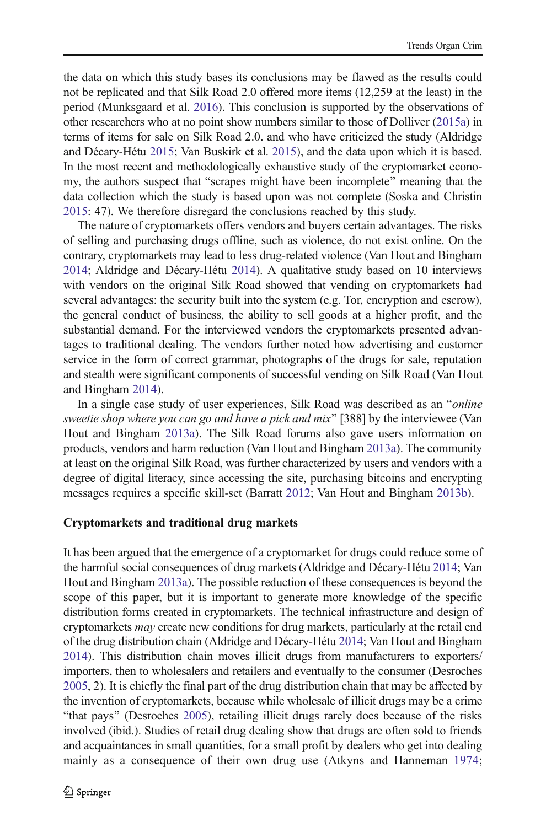the data on which this study bases its conclusions may be flawed as the results could not be replicated and that Silk Road 2.0 offered more items (12,259 at the least) in the period (Munksgaard et al. [2016\)](#page-19-0). This conclusion is supported by the observations of other researchers who at no point show numbers similar to those of Dolliver [\(2015a](#page-18-0)) in terms of items for sale on Silk Road 2.0. and who have criticized the study (Aldridge and Décary-Hétu [2015](#page-17-0); Van Buskirk et al. [2015\)](#page-19-0), and the data upon which it is based. In the most recent and methodologically exhaustive study of the cryptomarket economy, the authors suspect that "scrapes might have been incomplete" meaning that the data collection which the study is based upon was not complete (Soska and Christin [2015:](#page-19-0) 47). We therefore disregard the conclusions reached by this study.

The nature of cryptomarkets offers vendors and buyers certain advantages. The risks of selling and purchasing drugs offline, such as violence, do not exist online. On the contrary, cryptomarkets may lead to less drug-related violence (Van Hout and Bingham [2014;](#page-19-0) Aldridge and Décary-Hétu [2014](#page-17-0)). A qualitative study based on 10 interviews with vendors on the original Silk Road showed that vending on cryptomarkets had several advantages: the security built into the system (e.g. Tor, encryption and escrow), the general conduct of business, the ability to sell goods at a higher profit, and the substantial demand. For the interviewed vendors the cryptomarkets presented advantages to traditional dealing. The vendors further noted how advertising and customer service in the form of correct grammar, photographs of the drugs for sale, reputation and stealth were significant components of successful vending on Silk Road (Van Hout and Bingham [2014](#page-19-0)).

In a single case study of user experiences, Silk Road was described as an "*online* sweetie shop where you can go and have a pick and mix" [388] by the interviewee (Van Hout and Bingham [2013a\)](#page-19-0). The Silk Road forums also gave users information on products, vendors and harm reduction (Van Hout and Bingham [2013a](#page-19-0)). The community at least on the original Silk Road, was further characterized by users and vendors with a degree of digital literacy, since accessing the site, purchasing bitcoins and encrypting messages requires a specific skill-set (Barratt [2012;](#page-18-0) Van Hout and Bingham [2013b](#page-19-0)).

#### Cryptomarkets and traditional drug markets

It has been argued that the emergence of a cryptomarket for drugs could reduce some of the harmful social consequences of drug markets (Aldridge and Décary-Hétu [2014](#page-17-0); Van Hout and Bingham [2013a\)](#page-19-0). The possible reduction of these consequences is beyond the scope of this paper, but it is important to generate more knowledge of the specific distribution forms created in cryptomarkets. The technical infrastructure and design of cryptomarkets may create new conditions for drug markets, particularly at the retail end of the drug distribution chain (Aldridge and Décary-Hétu [2014](#page-17-0); Van Hout and Bingham [2014\)](#page-19-0). This distribution chain moves illicit drugs from manufacturers to exporters/ importers, then to wholesalers and retailers and eventually to the consumer (Desroches [2005,](#page-18-0) 2). It is chiefly the final part of the drug distribution chain that may be affected by the invention of cryptomarkets, because while wholesale of illicit drugs may be a crime "that pays" (Desroches [2005\)](#page-18-0), retailing illicit drugs rarely does because of the risks involved (ibid.). Studies of retail drug dealing show that drugs are often sold to friends and acquaintances in small quantities, for a small profit by dealers who get into dealing mainly as a consequence of their own drug use (Atkyns and Hanneman [1974;](#page-17-0)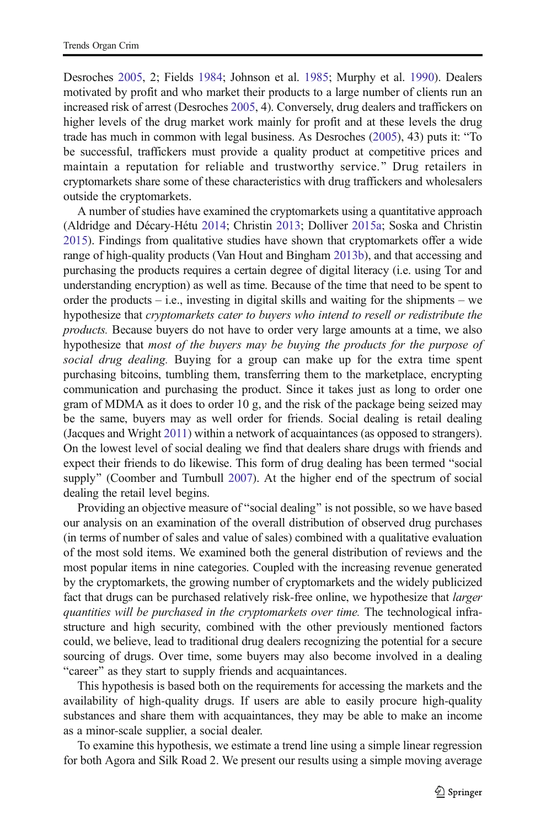Desroches [2005,](#page-18-0) 2; Fields [1984](#page-18-0); Johnson et al. [1985;](#page-18-0) Murphy et al. [1990\)](#page-19-0). Dealers motivated by profit and who market their products to a large number of clients run an increased risk of arrest (Desroches [2005](#page-18-0), 4). Conversely, drug dealers and traffickers on higher levels of the drug market work mainly for profit and at these levels the drug trade has much in common with legal business. As Desroches  $(2005)$ , 43) puts it: "To be successful, traffickers must provide a quality product at competitive prices and maintain a reputation for reliable and trustworthy service." Drug retailers in cryptomarkets share some of these characteristics with drug traffickers and wholesalers outside the cryptomarkets.

A number of studies have examined the cryptomarkets using a quantitative approach (Aldridge and Décary-Hétu [2014](#page-17-0); Christin [2013](#page-18-0); Dolliver [2015a](#page-18-0); Soska and Christin [2015\)](#page-19-0). Findings from qualitative studies have shown that cryptomarkets offer a wide range of high-quality products (Van Hout and Bingham [2013b](#page-19-0)), and that accessing and purchasing the products requires a certain degree of digital literacy (i.e. using Tor and understanding encryption) as well as time. Because of the time that need to be spent to order the products  $-$  i.e., investing in digital skills and waiting for the shipments  $-$  we hypothesize that cryptomarkets cater to buyers who intend to resell or redistribute the products. Because buyers do not have to order very large amounts at a time, we also hypothesize that most of the buyers may be buying the products for the purpose of social drug dealing. Buying for a group can make up for the extra time spent purchasing bitcoins, tumbling them, transferring them to the marketplace, encrypting communication and purchasing the product. Since it takes just as long to order one gram of MDMA as it does to order 10 g, and the risk of the package being seized may be the same, buyers may as well order for friends. Social dealing is retail dealing (Jacques and Wright [2011](#page-18-0)) within a network of acquaintances (as opposed to strangers). On the lowest level of social dealing we find that dealers share drugs with friends and expect their friends to do likewise. This form of drug dealing has been termed "social supply" (Coomber and Turnbull [2007](#page-18-0)). At the higher end of the spectrum of social dealing the retail level begins.

Providing an objective measure of "social dealing" is not possible, so we have based our analysis on an examination of the overall distribution of observed drug purchases (in terms of number of sales and value of sales) combined with a qualitative evaluation of the most sold items. We examined both the general distribution of reviews and the most popular items in nine categories. Coupled with the increasing revenue generated by the cryptomarkets, the growing number of cryptomarkets and the widely publicized fact that drugs can be purchased relatively risk-free online, we hypothesize that larger quantities will be purchased in the cryptomarkets over time. The technological infrastructure and high security, combined with the other previously mentioned factors could, we believe, lead to traditional drug dealers recognizing the potential for a secure sourcing of drugs. Over time, some buyers may also become involved in a dealing "career" as they start to supply friends and acquaintances.

This hypothesis is based both on the requirements for accessing the markets and the availability of high-quality drugs. If users are able to easily procure high-quality substances and share them with acquaintances, they may be able to make an income as a minor-scale supplier, a social dealer.

To examine this hypothesis, we estimate a trend line using a simple linear regression for both Agora and Silk Road 2. We present our results using a simple moving average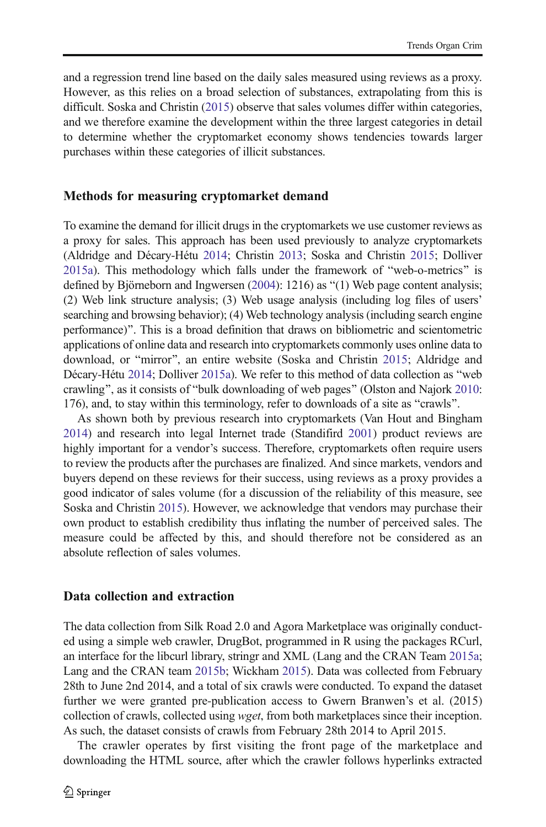and a regression trend line based on the daily sales measured using reviews as a proxy. However, as this relies on a broad selection of substances, extrapolating from this is difficult. Soska and Christin [\(2015\)](#page-19-0) observe that sales volumes differ within categories, and we therefore examine the development within the three largest categories in detail to determine whether the cryptomarket economy shows tendencies towards larger purchases within these categories of illicit substances.

#### Methods for measuring cryptomarket demand

To examine the demand for illicit drugs in the cryptomarkets we use customer reviews as a proxy for sales. This approach has been used previously to analyze cryptomarkets (Aldridge and Décary-Hétu [2014](#page-17-0); Christin [2013;](#page-18-0) Soska and Christin [2015;](#page-19-0) Dolliver  $2015a$ ). This methodology which falls under the framework of "web-o-metrics" is defined by Björneborn and Ingwersen  $(2004)$  $(2004)$ : 1216) as " $(1)$  Web page content analysis; (2) Web link structure analysis; (3) Web usage analysis (including log files of users' searching and browsing behavior); (4) Web technology analysis (including search engine performance)^. This is a broad definition that draws on bibliometric and scientometric applications of online data and research into cryptomarkets commonly uses online data to download, or "mirror", an entire website (Soska and Christin [2015](#page-19-0); Aldridge and Décary-Hétu [2014](#page-17-0); Dolliver [2015a\)](#page-18-0). We refer to this method of data collection as "web crawling", as it consists of "bulk downloading of web pages" (Olston and Najork [2010:](#page-19-0) 176), and, to stay within this terminology, refer to downloads of a site as "crawls".

As shown both by previous research into cryptomarkets (Van Hout and Bingham [2014\)](#page-19-0) and research into legal Internet trade (Standifird [2001](#page-19-0)) product reviews are highly important for a vendor's success. Therefore, cryptomarkets often require users to review the products after the purchases are finalized. And since markets, vendors and buyers depend on these reviews for their success, using reviews as a proxy provides a good indicator of sales volume (for a discussion of the reliability of this measure, see Soska and Christin [2015](#page-19-0)). However, we acknowledge that vendors may purchase their own product to establish credibility thus inflating the number of perceived sales. The measure could be affected by this, and should therefore not be considered as an absolute reflection of sales volumes.

### Data collection and extraction

The data collection from Silk Road 2.0 and Agora Marketplace was originally conducted using a simple web crawler, DrugBot, programmed in R using the packages RCurl, an interface for the libcurl library, stringr and XML (Lang and the CRAN Team [2015a;](#page-18-0) Lang and the CRAN team [2015b;](#page-18-0) Wickham [2015\)](#page-19-0). Data was collected from February 28th to June 2nd 2014, and a total of six crawls were conducted. To expand the dataset further we were granted pre-publication access to Gwern Branwen's et al. (2015) collection of crawls, collected using wget, from both marketplaces since their inception. As such, the dataset consists of crawls from February 28th 2014 to April 2015.

The crawler operates by first visiting the front page of the marketplace and downloading the HTML source, after which the crawler follows hyperlinks extracted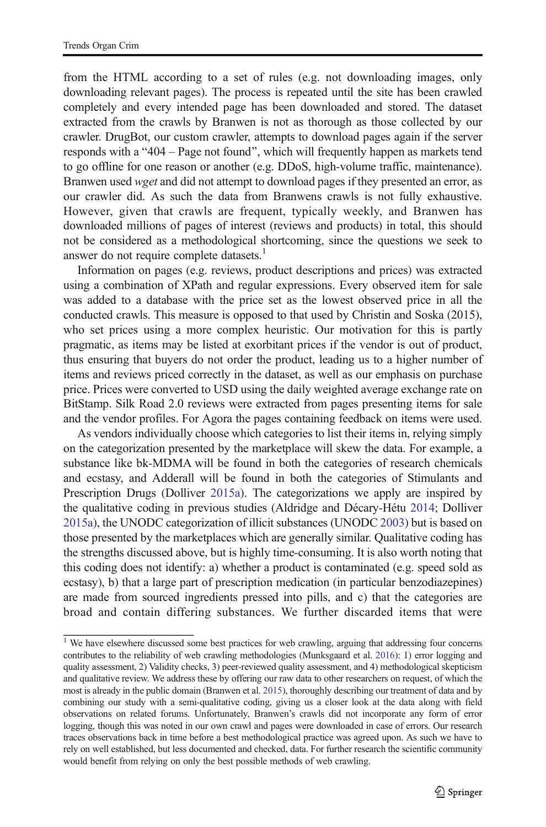from the HTML according to a set of rules (e.g. not downloading images, only downloading relevant pages). The process is repeated until the site has been crawled completely and every intended page has been downloaded and stored. The dataset extracted from the crawls by Branwen is not as thorough as those collected by our crawler. DrugBot, our custom crawler, attempts to download pages again if the server responds with a "404 – Page not found", which will frequently happen as markets tend to go offline for one reason or another (e.g. DDoS, high-volume traffic, maintenance). Branwen used *wget* and did not attempt to download pages if they presented an error, as our crawler did. As such the data from Branwens crawls is not fully exhaustive. However, given that crawls are frequent, typically weekly, and Branwen has downloaded millions of pages of interest (reviews and products) in total, this should not be considered as a methodological shortcoming, since the questions we seek to answer do not require complete datasets.<sup>1</sup>

Information on pages (e.g. reviews, product descriptions and prices) was extracted using a combination of XPath and regular expressions. Every observed item for sale was added to a database with the price set as the lowest observed price in all the conducted crawls. This measure is opposed to that used by Christin and Soska (2015), who set prices using a more complex heuristic. Our motivation for this is partly pragmatic, as items may be listed at exorbitant prices if the vendor is out of product, thus ensuring that buyers do not order the product, leading us to a higher number of items and reviews priced correctly in the dataset, as well as our emphasis on purchase price. Prices were converted to USD using the daily weighted average exchange rate on BitStamp. Silk Road 2.0 reviews were extracted from pages presenting items for sale and the vendor profiles. For Agora the pages containing feedback on items were used.

As vendors individually choose which categories to list their items in, relying simply on the categorization presented by the marketplace will skew the data. For example, a substance like bk-MDMA will be found in both the categories of research chemicals and ecstasy, and Adderall will be found in both the categories of Stimulants and Prescription Drugs (Dolliver [2015a](#page-18-0)). The categorizations we apply are inspired by the qualitative coding in previous studies (Aldridge and Décary-Hétu [2014](#page-17-0); Dolliver [2015a\)](#page-18-0), the UNODC categorization of illicit substances (UNODC [2003\)](#page-18-0) but is based on those presented by the marketplaces which are generally similar. Qualitative coding has the strengths discussed above, but is highly time-consuming. It is also worth noting that this coding does not identify: a) whether a product is contaminated (e.g. speed sold as ecstasy), b) that a large part of prescription medication (in particular benzodiazepines) are made from sourced ingredients pressed into pills, and c) that the categories are broad and contain differing substances. We further discarded items that were

<sup>&</sup>lt;sup>1</sup> We have elsewhere discussed some best practices for web crawling, arguing that addressing four concerns contributes to the reliability of web crawling methodologies (Munksgaard et al. [2016\)](#page-19-0): 1) error logging and quality assessment, 2) Validity checks, 3) peer-reviewed quality assessment, and 4) methodological skepticism and qualitative review. We address these by offering our raw data to other researchers on request, of which the most is already in the public domain (Branwen et al. [2015](#page-18-0)), thoroughly describing our treatment of data and by combining our study with a semi-qualitative coding, giving us a closer look at the data along with field observations on related forums. Unfortunately, Branwen's crawls did not incorporate any form of error logging, though this was noted in our own crawl and pages were downloaded in case of errors. Our research traces observations back in time before a best methodological practice was agreed upon. As such we have to rely on well established, but less documented and checked, data. For further research the scientific community would benefit from relying on only the best possible methods of web crawling.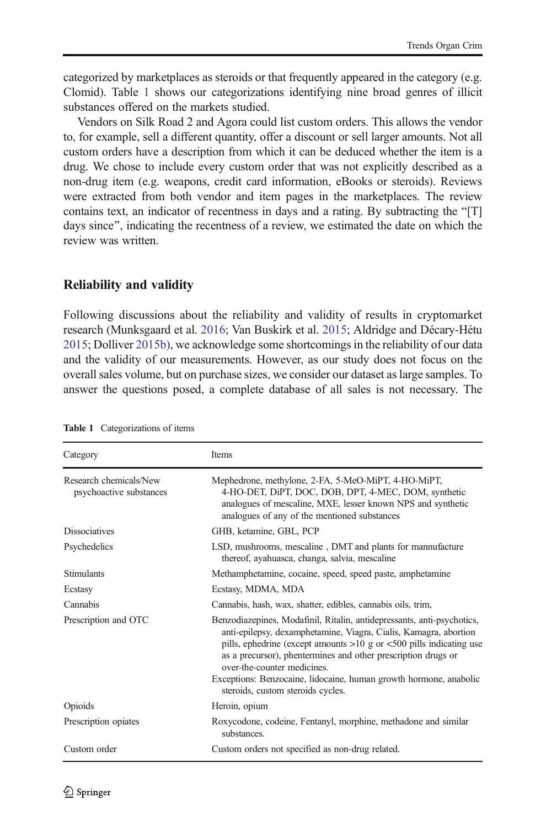categorized by marketplaces as steroids or that frequently appeared in the category (e.g. Clomid). Table 1 shows our categorizations identifying nine broad genres of illicit substances offered on the markets studied.

Vendors on Silk Road 2 and Agora could list custom orders. This allows the vendor to, for example, sell a different quantity, offer a discount or sell larger amounts. Not all custom orders have a description from which it can be deduced whether the item is a drug. We chose to include every custom order that was not explicitly described as a non-drug item (e.g. weapons, credit card information, eBooks or steroids). Reviews were extracted from both vendor and item pages in the marketplaces. The review contains text, an indicator of recentness in days and a rating. By subtracting the  $T$ [T] days since", indicating the recentness of a review, we estimated the date on which the review was written.

### Reliability and validity

Following discussions about the reliability and validity of results in cryptomarket research (Munksgaard et al. [2016](#page-19-0); Van Buskirk et al. [2015](#page-19-0); Aldridge and Décary-Hétu [2015;](#page-17-0) Dolliver [2015b\)](#page-18-0), we acknowledge some shortcomings in the reliability of our data and the validity of our measurements. However, as our study does not focus on the overall sales volume, but on purchase sizes, we consider our dataset as large samples. To answer the questions posed, a complete database of all sales is not necessary. The

| Category                                          | Items                                                                                                                                                                                                                                                                                                                                                                                                                            |  |  |
|---------------------------------------------------|----------------------------------------------------------------------------------------------------------------------------------------------------------------------------------------------------------------------------------------------------------------------------------------------------------------------------------------------------------------------------------------------------------------------------------|--|--|
| Research chemicals/New<br>psychoactive substances | Mephedrone, methylone, 2-FA, 5-MeO-MiPT, 4-HO-MiPT,<br>4-HO-DET, DiPT, DOC, DOB, DPT, 4-MEC, DOM, synthetic<br>analogues of mescaline, MXE, lesser known NPS and synthetic<br>analogues of any of the mentioned substances                                                                                                                                                                                                       |  |  |
| <b>Dissociatives</b>                              | GHB, ketamine, GBL, PCP                                                                                                                                                                                                                                                                                                                                                                                                          |  |  |
| Psychedelics                                      | LSD, mushrooms, mescaline, DMT and plants for mannufacture<br>thereof, ayahuasca, changa, salvia, mescaline                                                                                                                                                                                                                                                                                                                      |  |  |
| <b>Stimulants</b>                                 | Methamphetamine, cocaine, speed, speed paste, amphetamine                                                                                                                                                                                                                                                                                                                                                                        |  |  |
| Ecstasy                                           | Ecstasy, MDMA, MDA                                                                                                                                                                                                                                                                                                                                                                                                               |  |  |
| Cannabis                                          | Cannabis, hash, wax, shatter, edibles, cannabis oils, trim,                                                                                                                                                                                                                                                                                                                                                                      |  |  |
| Prescription and OTC                              | Benzodiazepines, Modafinil, Ritalin, antidepressants, anti-psychotics,<br>anti-epilepsy, dexamphetamine, Viagra, Cialis, Kamagra, abortion<br>pills, ephedrine (except amounts $>10$ g or $< 500$ pills indicating use<br>as a precursor), phentermines and other prescription drugs or<br>over-the-counter medicines.<br>Exceptions: Benzocaine, lidocaine, human growth hormone, anabolic<br>steroids, custom steroids cycles. |  |  |
| Opioids                                           | Heroin, opium                                                                                                                                                                                                                                                                                                                                                                                                                    |  |  |
| Prescription opiates                              | Roxycodone, codeine, Fentanyl, morphine, methadone and similar<br>substances.                                                                                                                                                                                                                                                                                                                                                    |  |  |
| Custom order                                      | Custom orders not specified as non-drug related.                                                                                                                                                                                                                                                                                                                                                                                 |  |  |

Table 1 Categorizations of items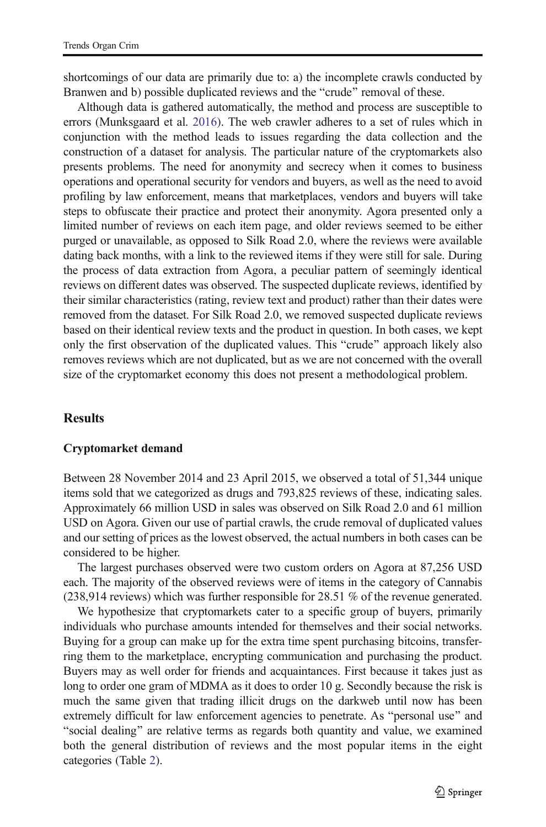shortcomings of our data are primarily due to: a) the incomplete crawls conducted by Branwen and b) possible duplicated reviews and the "crude" removal of these.

Although data is gathered automatically, the method and process are susceptible to errors (Munksgaard et al. [2016\)](#page-19-0). The web crawler adheres to a set of rules which in conjunction with the method leads to issues regarding the data collection and the construction of a dataset for analysis. The particular nature of the cryptomarkets also presents problems. The need for anonymity and secrecy when it comes to business operations and operational security for vendors and buyers, as well as the need to avoid profiling by law enforcement, means that marketplaces, vendors and buyers will take steps to obfuscate their practice and protect their anonymity. Agora presented only a limited number of reviews on each item page, and older reviews seemed to be either purged or unavailable, as opposed to Silk Road 2.0, where the reviews were available dating back months, with a link to the reviewed items if they were still for sale. During the process of data extraction from Agora, a peculiar pattern of seemingly identical reviews on different dates was observed. The suspected duplicate reviews, identified by their similar characteristics (rating, review text and product) rather than their dates were removed from the dataset. For Silk Road 2.0, we removed suspected duplicate reviews based on their identical review texts and the product in question. In both cases, we kept only the first observation of the duplicated values. This "crude" approach likely also removes reviews which are not duplicated, but as we are not concerned with the overall size of the cryptomarket economy this does not present a methodological problem.

### **Results**

### Cryptomarket demand

Between 28 November 2014 and 23 April 2015, we observed a total of 51,344 unique items sold that we categorized as drugs and 793,825 reviews of these, indicating sales. Approximately 66 million USD in sales was observed on Silk Road 2.0 and 61 million USD on Agora. Given our use of partial crawls, the crude removal of duplicated values and our setting of prices as the lowest observed, the actual numbers in both cases can be considered to be higher.

The largest purchases observed were two custom orders on Agora at 87,256 USD each. The majority of the observed reviews were of items in the category of Cannabis (238,914 reviews) which was further responsible for 28.51 % of the revenue generated.

We hypothesize that cryptomarkets cater to a specific group of buyers, primarily individuals who purchase amounts intended for themselves and their social networks. Buying for a group can make up for the extra time spent purchasing bitcoins, transferring them to the marketplace, encrypting communication and purchasing the product. Buyers may as well order for friends and acquaintances. First because it takes just as long to order one gram of MDMA as it does to order 10 g. Secondly because the risk is much the same given that trading illicit drugs on the darkweb until now has been extremely difficult for law enforcement agencies to penetrate. As "personal use" and "social dealing" are relative terms as regards both quantity and value, we examined both the general distribution of reviews and the most popular items in the eight categories (Table [2](#page-9-0)).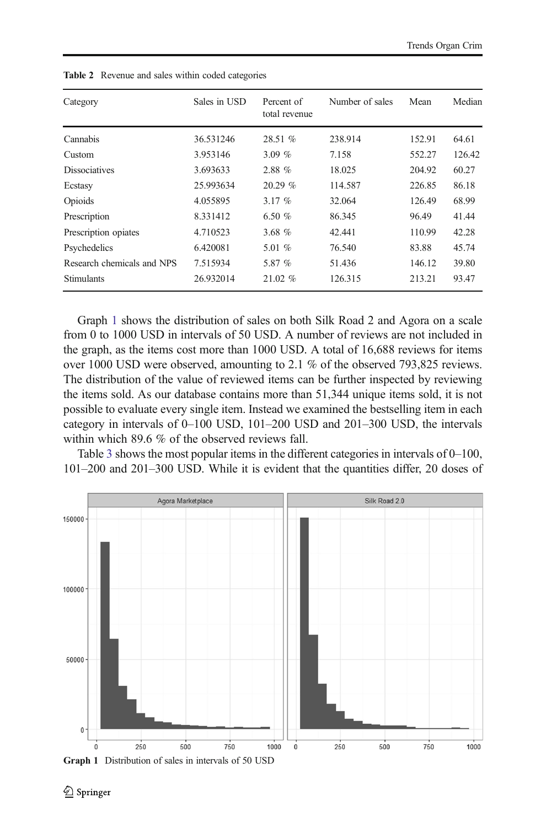| Category                   | Sales in USD | Percent of<br>total revenue | Number of sales | Mean   | Median |
|----------------------------|--------------|-----------------------------|-----------------|--------|--------|
| Cannabis                   | 36.531246    | 28.51 %                     | 238.914         | 152.91 | 64.61  |
| Custom                     | 3.953146     | 3.09%                       | 7.158           | 552.27 | 126.42 |
| <b>Dissociatives</b>       | 3.693633     | 2.88 %                      | 18.025          | 204.92 | 60.27  |
| Ecstasy                    | 25.993634    | 20.29%                      | 114.587         | 226.85 | 86.18  |
| Opioids                    | 4.055895     | 3.17%                       | 32.064          | 126.49 | 68.99  |
| Prescription               | 8.331412     | 6.50 $%$                    | 86.345          | 96.49  | 41.44  |
| Prescription opiates       | 4.710523     | 3.68 $%$                    | 42.441          | 110.99 | 42.28  |
| Psychedelics               | 6.420081     | 5.01 $%$                    | 76.540          | 83.88  | 45.74  |
| Research chemicals and NPS | 7.515934     | 5.87 %                      | 51.436          | 146.12 | 39.80  |
| <b>Stimulants</b>          | 26.932014    | 21.02 %                     | 126.315         | 213.21 | 93.47  |

<span id="page-9-0"></span>

|  |  |  |  |  |  | Table 2 Revenue and sales within coded categories |
|--|--|--|--|--|--|---------------------------------------------------|
|--|--|--|--|--|--|---------------------------------------------------|

Graph 1 shows the distribution of sales on both Silk Road 2 and Agora on a scale from 0 to 1000 USD in intervals of 50 USD. A number of reviews are not included in the graph, as the items cost more than 1000 USD. A total of 16,688 reviews for items over 1000 USD were observed, amounting to 2.1 % of the observed 793,825 reviews. The distribution of the value of reviewed items can be further inspected by reviewing the items sold. As our database contains more than 51,344 unique items sold, it is not possible to evaluate every single item. Instead we examined the bestselling item in each category in intervals of 0–100 USD, 101–200 USD and 201–300 USD, the intervals within which 89.6 % of the observed reviews fall.

Table [3](#page-10-0) shows the most popular items in the different categories in intervals of 0–100, 101–200 and 201–300 USD. While it is evident that the quantities differ, 20 doses of



Graph 1 Distribution of sales in intervals of 50 USD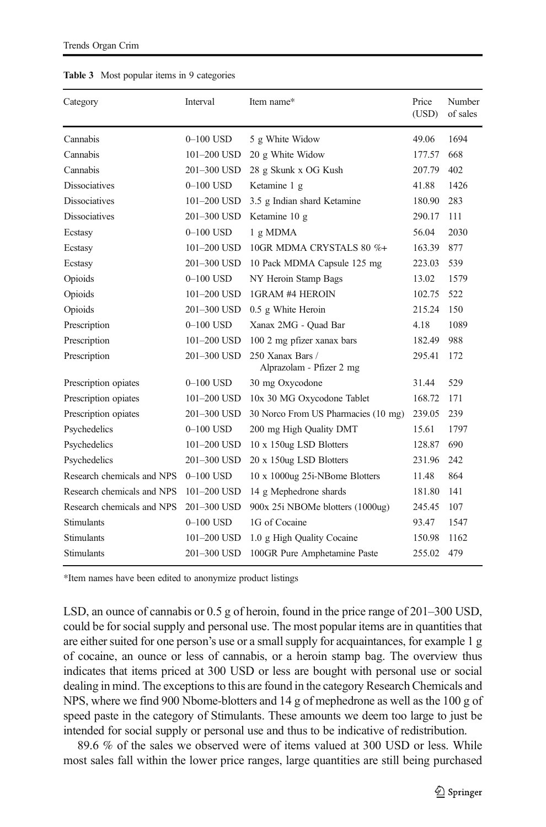| Category                   | Interval        | Item name*                                   | Price<br>(USD) | Number<br>of sales |
|----------------------------|-----------------|----------------------------------------------|----------------|--------------------|
| Cannabis                   | $0-100$ USD     | 5 g White Widow                              | 49.06          | 1694               |
| Cannabis                   | 101-200 USD     | 20 g White Widow                             | 177.57         | 668                |
| Cannabis                   | 201-300 USD     | 28 g Skunk x OG Kush                         | 207.79         | 402                |
| <b>Dissociatives</b>       | $0-100$ USD     | Ketamine 1 g                                 | 41.88          | 1426               |
| <b>Dissociatives</b>       | 101-200 USD     | 3.5 g Indian shard Ketamine                  | 180.90         | 283                |
| <b>Dissociatives</b>       | 201-300 USD     | Ketamine 10 g                                | 290.17         | 111                |
| Ecstasy                    | $0-100$ USD     | 1 g MDMA                                     | 56.04          | 2030               |
| Ecstasy                    | 101-200 USD     | 10GR MDMA CRYSTALS 80 %+                     | 163.39         | 877                |
| Ecstasy                    | 201-300 USD     | 10 Pack MDMA Capsule 125 mg                  | 223.03         | 539                |
| Opioids                    | $0-100$ USD     | NY Heroin Stamp Bags                         | 13.02          | 1579               |
| Opioids                    | 101-200 USD     | 1GRAM #4 HEROIN                              | 102.75         | 522                |
| Opioids                    | 201-300 USD     | 0.5 g White Heroin                           | 215.24         | 150                |
| Prescription               | $0-100$ USD     | Xanax 2MG - Quad Bar                         | 4.18           | 1089               |
| Prescription               | $101 - 200$ USD | 100 2 mg pfizer xanax bars                   | 182.49         | 988                |
| Prescription               | 201-300 USD     | 250 Xanax Bars /<br>Alprazolam - Pfizer 2 mg | 295.41         | 172                |
| Prescription opiates       | $0-100$ USD     | 30 mg Oxycodone                              | 31.44          | 529                |
| Prescription opiates       | 101-200 USD     | 10x 30 MG Oxycodone Tablet                   | 168.72         | 171                |
| Prescription opiates       | 201-300 USD     | 30 Norco From US Pharmacies (10 mg)          | 239.05         | 239                |
| Psychedelics               | $0 - 100$ USD   | 200 mg High Quality DMT                      | 15.61          | 1797               |
| Psychedelics               | 101-200 USD     | 10 x 150ug LSD Blotters                      | 128.87         | 690                |
| Psychedelics               | 201-300 USD     | 20 x 150ug LSD Blotters                      | 231.96         | 242                |
| Research chemicals and NPS | $0-100$ USD     | 10 x 1000ug 25i-NBome Blotters               | 11.48          | 864                |
| Research chemicals and NPS | 101-200 USD     | 14 g Mephedrone shards                       | 181.80         | 141                |
| Research chemicals and NPS | 201-300 USD     | 900x 25i NBOMe blotters (1000ug)             | 245.45         | 107                |
| <b>Stimulants</b>          | $0-100$ USD     | 1G of Cocaine                                | 93.47          | 1547               |
| Stimulants                 | 101-200 USD     | 1.0 g High Quality Cocaine                   | 150.98         | 1162               |
| <b>Stimulants</b>          | 201-300 USD     | 100GR Pure Amphetamine Paste                 | 255.02         | 479                |

<span id="page-10-0"></span>

|  |  |  |  |  |  | <b>Table 3</b> Most popular items in 9 categories |
|--|--|--|--|--|--|---------------------------------------------------|
|--|--|--|--|--|--|---------------------------------------------------|

\*Item names have been edited to anonymize product listings

LSD, an ounce of cannabis or 0.5 g of heroin, found in the price range of 201–300 USD, could be for social supply and personal use. The most popular items are in quantities that are either suited for one person's use or a small supply for acquaintances, for example 1 g of cocaine, an ounce or less of cannabis, or a heroin stamp bag. The overview thus indicates that items priced at 300 USD or less are bought with personal use or social dealing in mind. The exceptions to this are found in the category Research Chemicals and NPS, where we find 900 Nbome-blotters and 14 g of mephedrone as well as the 100 g of speed paste in the category of Stimulants. These amounts we deem too large to just be intended for social supply or personal use and thus to be indicative of redistribution.

89.6 % of the sales we observed were of items valued at 300 USD or less. While most sales fall within the lower price ranges, large quantities are still being purchased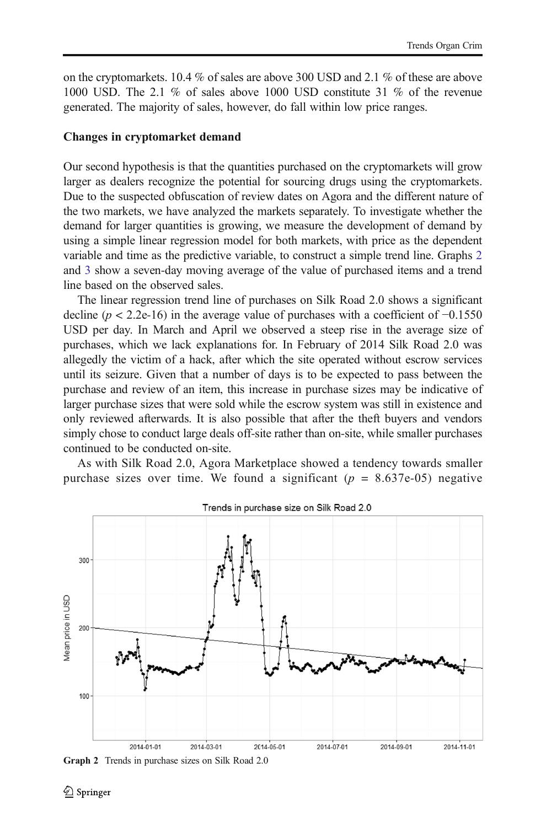on the cryptomarkets. 10.4 % of sales are above 300 USD and 2.1 % of these are above 1000 USD. The 2.1 % of sales above 1000 USD constitute 31 % of the revenue generated. The majority of sales, however, do fall within low price ranges.

#### Changes in cryptomarket demand

Our second hypothesis is that the quantities purchased on the cryptomarkets will grow larger as dealers recognize the potential for sourcing drugs using the cryptomarkets. Due to the suspected obfuscation of review dates on Agora and the different nature of the two markets, we have analyzed the markets separately. To investigate whether the demand for larger quantities is growing, we measure the development of demand by using a simple linear regression model for both markets, with price as the dependent variable and time as the predictive variable, to construct a simple trend line. Graphs 2 and [3](#page-12-0) show a seven-day moving average of the value of purchased items and a trend line based on the observed sales.

The linear regression trend line of purchases on Silk Road 2.0 shows a significant decline ( $p$  < 2.2e-16) in the average value of purchases with a coefficient of  $-0.1550$ USD per day. In March and April we observed a steep rise in the average size of purchases, which we lack explanations for. In February of 2014 Silk Road 2.0 was allegedly the victim of a hack, after which the site operated without escrow services until its seizure. Given that a number of days is to be expected to pass between the purchase and review of an item, this increase in purchase sizes may be indicative of larger purchase sizes that were sold while the escrow system was still in existence and only reviewed afterwards. It is also possible that after the theft buyers and vendors simply chose to conduct large deals off-site rather than on-site, while smaller purchases continued to be conducted on-site.

As with Silk Road 2.0, Agora Marketplace showed a tendency towards smaller purchase sizes over time. We found a significant ( $p = 8.637e-05$ ) negative



Graph 2 Trends in purchase sizes on Silk Road 2.0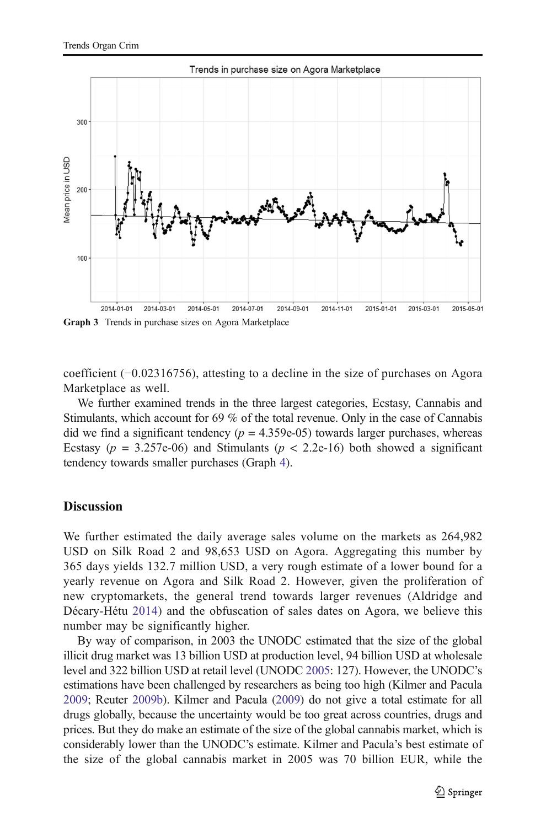<span id="page-12-0"></span>

Graph 3 Trends in purchase sizes on Agora Marketplace

coefficient (−0.02316756), attesting to a decline in the size of purchases on Agora Marketplace as well.

We further examined trends in the three largest categories, Ecstasy, Cannabis and Stimulants, which account for 69 % of the total revenue. Only in the case of Cannabis did we find a significant tendency ( $p = 4.359e-05$ ) towards larger purchases, whereas Ecstasy ( $p = 3.257e-06$ ) and Stimulants ( $p < 2.2e-16$ ) both showed a significant tendency towards smaller purchases (Graph [4](#page-13-0)).

#### **Discussion**

We further estimated the daily average sales volume on the markets as 264,982 USD on Silk Road 2 and 98,653 USD on Agora. Aggregating this number by 365 days yields 132.7 million USD, a very rough estimate of a lower bound for a yearly revenue on Agora and Silk Road 2. However, given the proliferation of new cryptomarkets, the general trend towards larger revenues (Aldridge and Décary-Hétu [2014](#page-17-0)) and the obfuscation of sales dates on Agora, we believe this number may be significantly higher.

By way of comparison, in 2003 the UNODC estimated that the size of the global illicit drug market was 13 billion USD at production level, 94 billion USD at wholesale level and 322 billion USD at retail level (UNODC [2005:](#page-19-0) 127). However, the UNODC's estimations have been challenged by researchers as being too high (Kilmer and Pacula [2009;](#page-18-0) Reuter [2009b](#page-19-0)). Kilmer and Pacula [\(2009\)](#page-18-0) do not give a total estimate for all drugs globally, because the uncertainty would be too great across countries, drugs and prices. But they do make an estimate of the size of the global cannabis market, which is considerably lower than the UNODC's estimate. Kilmer and Pacula's best estimate of the size of the global cannabis market in 2005 was 70 billion EUR, while the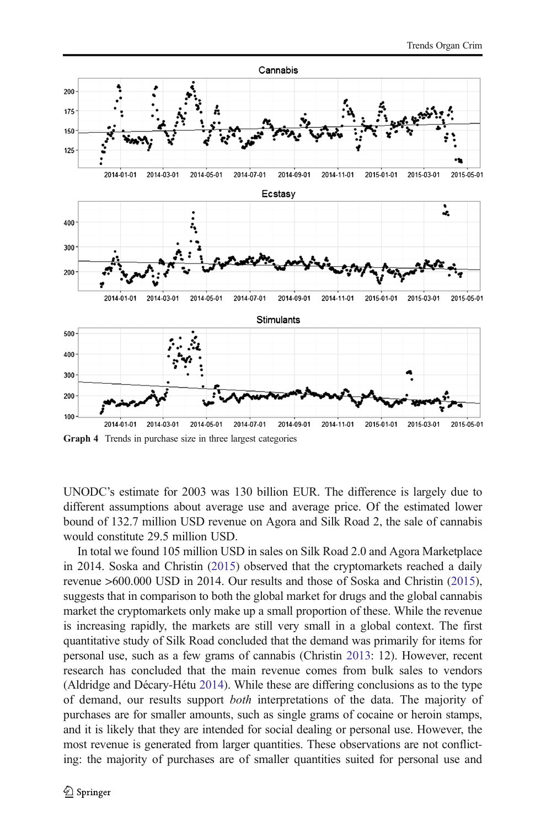<span id="page-13-0"></span>

Graph 4 Trends in purchase size in three largest categories

UNODC's estimate for 2003 was 130 billion EUR. The difference is largely due to different assumptions about average use and average price. Of the estimated lower bound of 132.7 million USD revenue on Agora and Silk Road 2, the sale of cannabis would constitute 29.5 million USD.

In total we found 105 million USD in sales on Silk Road 2.0 and Agora Marketplace in 2014. Soska and Christin [\(2015\)](#page-19-0) observed that the cryptomarkets reached a daily revenue >600.000 USD in 2014. Our results and those of Soska and Christin [\(2015\)](#page-19-0), suggests that in comparison to both the global market for drugs and the global cannabis market the cryptomarkets only make up a small proportion of these. While the revenue is increasing rapidly, the markets are still very small in a global context. The first quantitative study of Silk Road concluded that the demand was primarily for items for personal use, such as a few grams of cannabis (Christin [2013](#page-18-0): 12). However, recent research has concluded that the main revenue comes from bulk sales to vendors (Aldridge and Décary-Hétu [2014](#page-17-0)). While these are differing conclusions as to the type of demand, our results support both interpretations of the data. The majority of purchases are for smaller amounts, such as single grams of cocaine or heroin stamps, and it is likely that they are intended for social dealing or personal use. However, the most revenue is generated from larger quantities. These observations are not conflicting: the majority of purchases are of smaller quantities suited for personal use and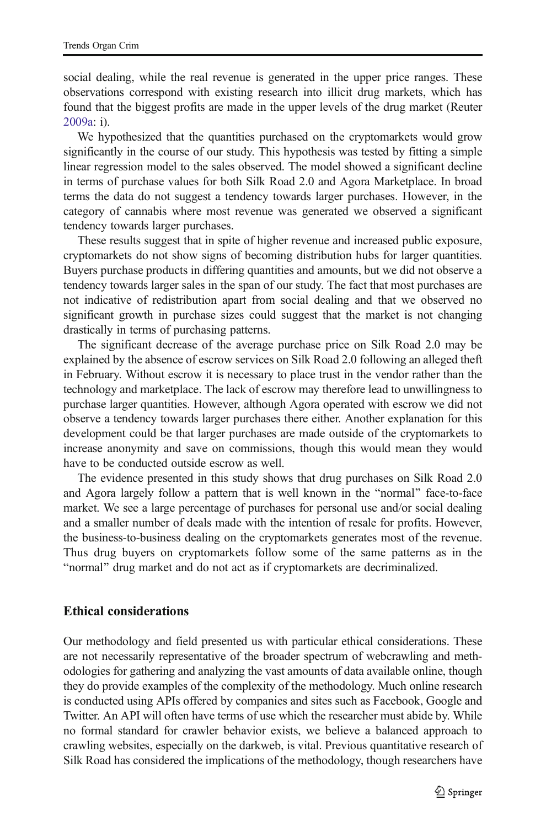social dealing, while the real revenue is generated in the upper price ranges. These observations correspond with existing research into illicit drug markets, which has found that the biggest profits are made in the upper levels of the drug market (Reuter [2009a:](#page-19-0) i).

We hypothesized that the quantities purchased on the cryptomarkets would grow significantly in the course of our study. This hypothesis was tested by fitting a simple linear regression model to the sales observed. The model showed a significant decline in terms of purchase values for both Silk Road 2.0 and Agora Marketplace. In broad terms the data do not suggest a tendency towards larger purchases. However, in the category of cannabis where most revenue was generated we observed a significant tendency towards larger purchases.

These results suggest that in spite of higher revenue and increased public exposure, cryptomarkets do not show signs of becoming distribution hubs for larger quantities. Buyers purchase products in differing quantities and amounts, but we did not observe a tendency towards larger sales in the span of our study. The fact that most purchases are not indicative of redistribution apart from social dealing and that we observed no significant growth in purchase sizes could suggest that the market is not changing drastically in terms of purchasing patterns.

The significant decrease of the average purchase price on Silk Road 2.0 may be explained by the absence of escrow services on Silk Road 2.0 following an alleged theft in February. Without escrow it is necessary to place trust in the vendor rather than the technology and marketplace. The lack of escrow may therefore lead to unwillingness to purchase larger quantities. However, although Agora operated with escrow we did not observe a tendency towards larger purchases there either. Another explanation for this development could be that larger purchases are made outside of the cryptomarkets to increase anonymity and save on commissions, though this would mean they would have to be conducted outside escrow as well.

The evidence presented in this study shows that drug purchases on Silk Road 2.0 and Agora largely follow a pattern that is well known in the "normal" face-to-face market. We see a large percentage of purchases for personal use and/or social dealing and a smaller number of deals made with the intention of resale for profits. However, the business-to-business dealing on the cryptomarkets generates most of the revenue. Thus drug buyers on cryptomarkets follow some of the same patterns as in the "normal" drug market and do not act as if cryptomarkets are decriminalized.

#### Ethical considerations

Our methodology and field presented us with particular ethical considerations. These are not necessarily representative of the broader spectrum of webcrawling and methodologies for gathering and analyzing the vast amounts of data available online, though they do provide examples of the complexity of the methodology. Much online research is conducted using APIs offered by companies and sites such as Facebook, Google and Twitter. An API will often have terms of use which the researcher must abide by. While no formal standard for crawler behavior exists, we believe a balanced approach to crawling websites, especially on the darkweb, is vital. Previous quantitative research of Silk Road has considered the implications of the methodology, though researchers have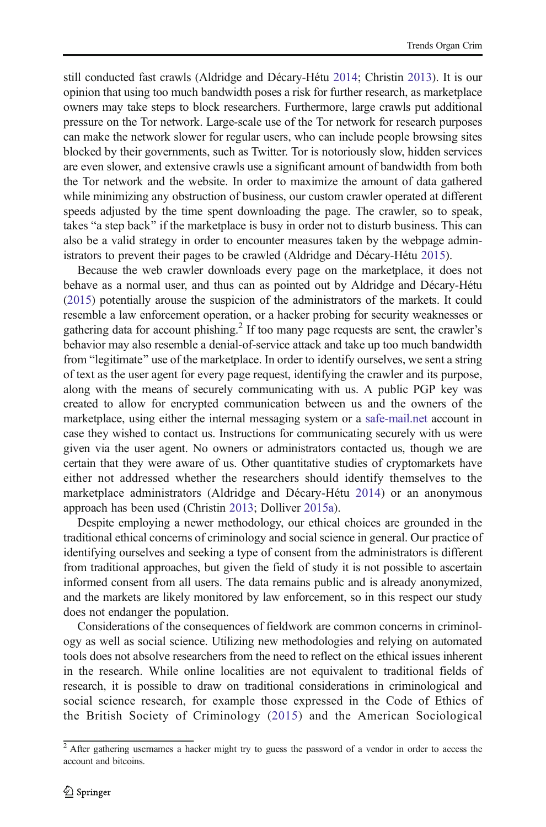still conducted fast crawls (Aldridge and Décary-Hétu [2014;](#page-17-0) Christin [2013\)](#page-18-0). It is our opinion that using too much bandwidth poses a risk for further research, as marketplace owners may take steps to block researchers. Furthermore, large crawls put additional pressure on the Tor network. Large-scale use of the Tor network for research purposes can make the network slower for regular users, who can include people browsing sites blocked by their governments, such as Twitter. Tor is notoriously slow, hidden services are even slower, and extensive crawls use a significant amount of bandwidth from both the Tor network and the website. In order to maximize the amount of data gathered while minimizing any obstruction of business, our custom crawler operated at different speeds adjusted by the time spent downloading the page. The crawler, so to speak, takes "a step back" if the marketplace is busy in order not to disturb business. This can also be a valid strategy in order to encounter measures taken by the webpage administrators to prevent their pages to be crawled (Aldridge and Décary-Hétu [2015\)](#page-17-0).

Because the web crawler downloads every page on the marketplace, it does not behave as a normal user, and thus can as pointed out by Aldridge and Décary-Hétu [\(2015\)](#page-17-0) potentially arouse the suspicion of the administrators of the markets. It could resemble a law enforcement operation, or a hacker probing for security weaknesses or gathering data for account phishing.<sup>2</sup> If too many page requests are sent, the crawler's behavior may also resemble a denial-of-service attack and take up too much bandwidth from "legitimate" use of the marketplace. In order to identify ourselves, we sent a string of text as the user agent for every page request, identifying the crawler and its purpose, along with the means of securely communicating with us. A public PGP key was created to allow for encrypted communication between us and the owners of the marketplace, using either the internal messaging system or a [safe-mail.net](http://safe-mail.net) account in case they wished to contact us. Instructions for communicating securely with us were given via the user agent. No owners or administrators contacted us, though we are certain that they were aware of us. Other quantitative studies of cryptomarkets have either not addressed whether the researchers should identify themselves to the marketplace administrators (Aldridge and Décary-Hétu [2014\)](#page-17-0) or an anonymous approach has been used (Christin [2013](#page-18-0); Dolliver [2015a\)](#page-18-0).

Despite employing a newer methodology, our ethical choices are grounded in the traditional ethical concerns of criminology and social science in general. Our practice of identifying ourselves and seeking a type of consent from the administrators is different from traditional approaches, but given the field of study it is not possible to ascertain informed consent from all users. The data remains public and is already anonymized, and the markets are likely monitored by law enforcement, so in this respect our study does not endanger the population.

Considerations of the consequences of fieldwork are common concerns in criminology as well as social science. Utilizing new methodologies and relying on automated tools does not absolve researchers from the need to reflect on the ethical issues inherent in the research. While online localities are not equivalent to traditional fields of research, it is possible to draw on traditional considerations in criminological and social science research, for example those expressed in the Code of Ethics of the British Society of Criminology ([2015](#page-18-0)) and the American Sociological

 $2$  After gathering usernames a hacker might try to guess the password of a vendor in order to access the account and bitcoins.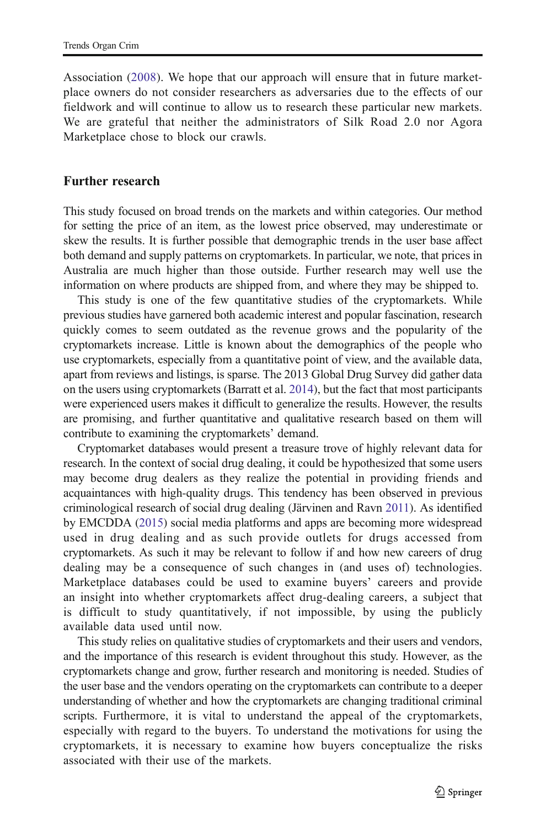Association ([2008\)](#page-17-0). We hope that our approach will ensure that in future marketplace owners do not consider researchers as adversaries due to the effects of our fieldwork and will continue to allow us to research these particular new markets. We are grateful that neither the administrators of Silk Road 2.0 nor Agora Marketplace chose to block our crawls.

#### Further research

This study focused on broad trends on the markets and within categories. Our method for setting the price of an item, as the lowest price observed, may underestimate or skew the results. It is further possible that demographic trends in the user base affect both demand and supply patterns on cryptomarkets. In particular, we note, that prices in Australia are much higher than those outside. Further research may well use the information on where products are shipped from, and where they may be shipped to.

This study is one of the few quantitative studies of the cryptomarkets. While previous studies have garnered both academic interest and popular fascination, research quickly comes to seem outdated as the revenue grows and the popularity of the cryptomarkets increase. Little is known about the demographics of the people who use cryptomarkets, especially from a quantitative point of view, and the available data, apart from reviews and listings, is sparse. The 2013 Global Drug Survey did gather data on the users using cryptomarkets (Barratt et al. [2014](#page-18-0)), but the fact that most participants were experienced users makes it difficult to generalize the results. However, the results are promising, and further quantitative and qualitative research based on them will contribute to examining the cryptomarkets' demand.

Cryptomarket databases would present a treasure trove of highly relevant data for research. In the context of social drug dealing, it could be hypothesized that some users may become drug dealers as they realize the potential in providing friends and acquaintances with high-quality drugs. This tendency has been observed in previous criminological research of social drug dealing (Järvinen and Ravn [2011\)](#page-18-0). As identified by EMCDDA [\(2015\)](#page-18-0) social media platforms and apps are becoming more widespread used in drug dealing and as such provide outlets for drugs accessed from cryptomarkets. As such it may be relevant to follow if and how new careers of drug dealing may be a consequence of such changes in (and uses of) technologies. Marketplace databases could be used to examine buyers' careers and provide an insight into whether cryptomarkets affect drug-dealing careers, a subject that is difficult to study quantitatively, if not impossible, by using the publicly available data used until now.

This study relies on qualitative studies of cryptomarkets and their users and vendors, and the importance of this research is evident throughout this study. However, as the cryptomarkets change and grow, further research and monitoring is needed. Studies of the user base and the vendors operating on the cryptomarkets can contribute to a deeper understanding of whether and how the cryptomarkets are changing traditional criminal scripts. Furthermore, it is vital to understand the appeal of the cryptomarkets, especially with regard to the buyers. To understand the motivations for using the cryptomarkets, it is necessary to examine how buyers conceptualize the risks associated with their use of the markets.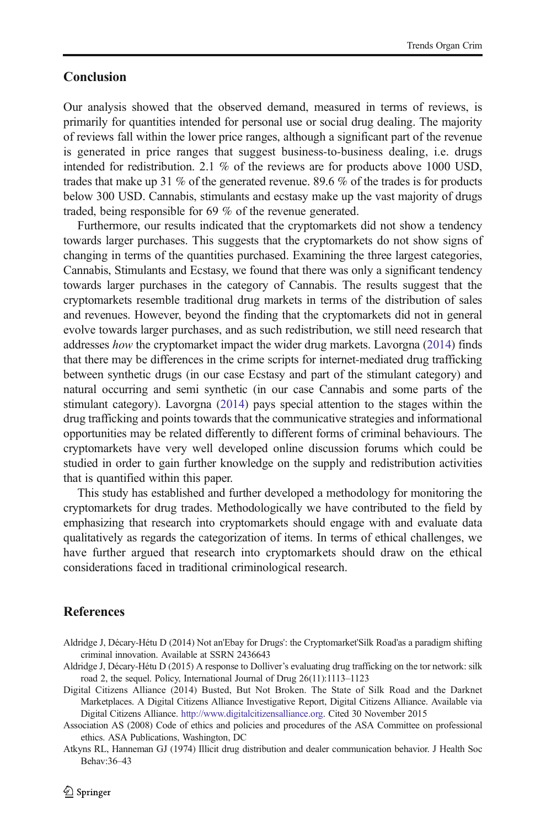## <span id="page-17-0"></span>Conclusion

Our analysis showed that the observed demand, measured in terms of reviews, is primarily for quantities intended for personal use or social drug dealing. The majority of reviews fall within the lower price ranges, although a significant part of the revenue is generated in price ranges that suggest business-to-business dealing, i.e. drugs intended for redistribution. 2.1 % of the reviews are for products above 1000 USD, trades that make up 31 % of the generated revenue. 89.6 % of the trades is for products below 300 USD. Cannabis, stimulants and ecstasy make up the vast majority of drugs traded, being responsible for 69 % of the revenue generated.

Furthermore, our results indicated that the cryptomarkets did not show a tendency towards larger purchases. This suggests that the cryptomarkets do not show signs of changing in terms of the quantities purchased. Examining the three largest categories, Cannabis, Stimulants and Ecstasy, we found that there was only a significant tendency towards larger purchases in the category of Cannabis. The results suggest that the cryptomarkets resemble traditional drug markets in terms of the distribution of sales and revenues. However, beyond the finding that the cryptomarkets did not in general evolve towards larger purchases, and as such redistribution, we still need research that addresses how the cryptomarket impact the wider drug markets. Lavorgna ([2014](#page-18-0)) finds that there may be differences in the crime scripts for internet-mediated drug trafficking between synthetic drugs (in our case Ecstasy and part of the stimulant category) and natural occurring and semi synthetic (in our case Cannabis and some parts of the stimulant category). Lavorgna [\(2014\)](#page-18-0) pays special attention to the stages within the drug trafficking and points towards that the communicative strategies and informational opportunities may be related differently to different forms of criminal behaviours. The cryptomarkets have very well developed online discussion forums which could be studied in order to gain further knowledge on the supply and redistribution activities that is quantified within this paper.

This study has established and further developed a methodology for monitoring the cryptomarkets for drug trades. Methodologically we have contributed to the field by emphasizing that research into cryptomarkets should engage with and evaluate data qualitatively as regards the categorization of items. In terms of ethical challenges, we have further argued that research into cryptomarkets should draw on the ethical considerations faced in traditional criminological research.

### References

- Aldridge J, Décary-Hétu D (2014) Not an'Ebay for Drugs': the Cryptomarket'Silk Road'as a paradigm shifting criminal innovation. Available at SSRN 2436643
- Aldridge J, Décary-Hétu D (2015) A response to Dolliver's evaluating drug trafficking on the tor network: silk road 2, the sequel. Policy, International Journal of Drug 26(11):1113–1123
- Digital Citizens Alliance (2014) Busted, But Not Broken. The State of Silk Road and the Darknet Marketplaces. A Digital Citizens Alliance Investigative Report, Digital Citizens Alliance. Available via Digital Citizens Alliance. <http://www.digitalcitizensalliance.org>. Cited 30 November 2015
- Association AS (2008) Code of ethics and policies and procedures of the ASA Committee on professional ethics. ASA Publications, Washington, DC
- Atkyns RL, Hanneman GJ (1974) Illicit drug distribution and dealer communication behavior. J Health Soc Behav:36–43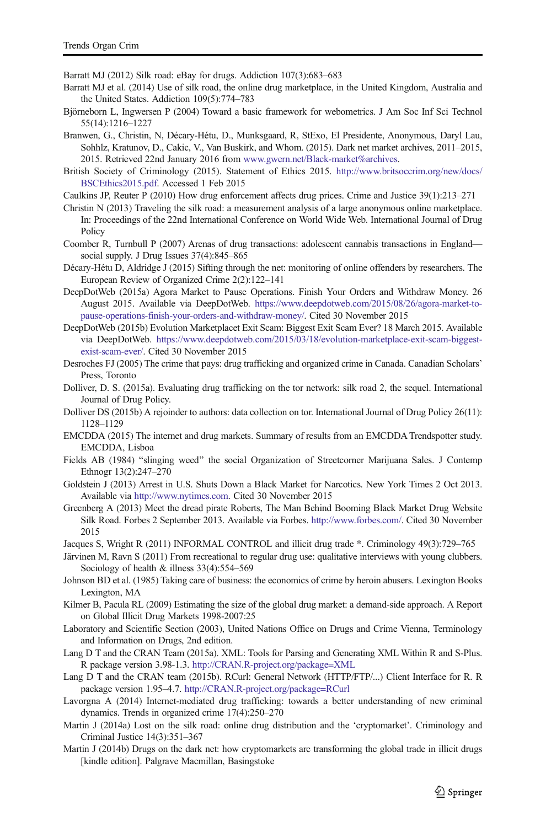<span id="page-18-0"></span>Barratt MJ (2012) Silk road: eBay for drugs. Addiction 107(3):683–683

- Barratt MJ et al. (2014) Use of silk road, the online drug marketplace, in the United Kingdom, Australia and the United States. Addiction 109(5):774–783
- Björneborn L, Ingwersen P (2004) Toward a basic framework for webometrics. J Am Soc Inf Sci Technol 55(14):1216–1227
- Branwen, G., Christin, N, Décary-Hétu, D., Munksgaard, R, StExo, El Presidente, Anonymous, Daryl Lau, Sohhlz, Kratunov, D., Cakic, V., Van Buskirk, and Whom. (2015). Dark net market archives, 2011–2015, 2015. Retrieved 22nd January 2016 from [www.gwern.net/Black-market%archives.](http://www.gwern.net/Black-market%25archives)
- British Society of Criminology (2015). Statement of Ethics 2015. [http://www.britsoccrim.org/new/docs/](http://www.britsoccrim.org/new/docs/BSCEthics2015.pdf) [BSCEthics2015.pdf](http://www.britsoccrim.org/new/docs/BSCEthics2015.pdf). Accessed 1 Feb 2015
- Caulkins JP, Reuter P (2010) How drug enforcement affects drug prices. Crime and Justice 39(1):213–271
- Christin N (2013) Traveling the silk road: a measurement analysis of a large anonymous online marketplace. In: Proceedings of the 22nd International Conference on World Wide Web. International Journal of Drug Policy
- Coomber R, Turnbull P (2007) Arenas of drug transactions: adolescent cannabis transactions in England social supply. J Drug Issues  $37(4):845-865$
- Décary-Hétu D, Aldridge J (2015) Sifting through the net: monitoring of online offenders by researchers. The European Review of Organized Crime 2(2):122–141
- DeepDotWeb (2015a) Agora Market to Pause Operations. Finish Your Orders and Withdraw Money. 26 August 2015. Available via DeepDotWeb. [https://www.deepdotweb.com/2015/08/26/agora-market-to](https://www.deepdotweb.com/2015/08/26/agora-market-to-pause-operations-finish-your-orders-and-withdraw-money/)[pause-operations-finish-your-orders-and-withdraw-money/.](https://www.deepdotweb.com/2015/08/26/agora-market-to-pause-operations-finish-your-orders-and-withdraw-money/) Cited 30 November 2015
- DeepDotWeb (2015b) Evolution Marketplacet Exit Scam: Biggest Exit Scam Ever? 18 March 2015. Available via DeepDotWeb. [https://www.deepdotweb.com/2015/03/18/evolution-marketplace-exit-scam-biggest](https://www.deepdotweb.com/2015/03/18/evolution-marketplace-exit-scam-biggest-exist-scam-ever/)[exist-scam-ever/](https://www.deepdotweb.com/2015/03/18/evolution-marketplace-exit-scam-biggest-exist-scam-ever/). Cited 30 November 2015
- Desroches FJ (2005) The crime that pays: drug trafficking and organized crime in Canada. Canadian Scholars' Press, Toronto
- Dolliver, D. S. (2015a). Evaluating drug trafficking on the tor network: silk road 2, the sequel. International Journal of Drug Policy.
- Dolliver DS (2015b) A rejoinder to authors: data collection on tor. International Journal of Drug Policy 26(11): 1128–1129
- EMCDDA (2015) The internet and drug markets. Summary of results from an EMCDDA Trendspotter study. EMCDDA, Lisboa
- Fields AB (1984) "slinging weed" the social Organization of Streetcorner Marijuana Sales. J Contemp Ethnogr 13(2):247–270
- Goldstein J (2013) Arrest in U.S. Shuts Down a Black Market for Narcotics. New York Times 2 Oct 2013. Available via [http://www.nytimes.com.](http://www.nytimes.com) Cited 30 November 2015
- Greenberg A (2013) Meet the dread pirate Roberts, The Man Behind Booming Black Market Drug Website Silk Road. Forbes 2 September 2013. Available via Forbes. <http://www.forbes.com/>. Cited 30 November 2015
- Jacques S, Wright R (2011) INFORMAL CONTROL and illicit drug trade \*. Criminology 49(3):729–765
- Järvinen M, Ravn S (2011) From recreational to regular drug use: qualitative interviews with young clubbers. Sociology of health & illness 33(4):554–569
- Johnson BD et al. (1985) Taking care of business: the economics of crime by heroin abusers. Lexington Books Lexington, MA
- Kilmer B, Pacula RL (2009) Estimating the size of the global drug market: a demand-side approach. A Report on Global Illicit Drug Markets 1998-2007:25
- Laboratory and Scientific Section (2003), United Nations Office on Drugs and Crime Vienna, Terminology and Information on Drugs, 2nd edition.
- Lang D T and the CRAN Team (2015a). XML: Tools for Parsing and Generating XML Within R and S-Plus. R package version 3.98-1.3. [http://CRAN.R-project.org/package=XML](http://cran.r-project.org/package=XML)
- Lang D T and the CRAN team (2015b). RCurl: General Network (HTTP/FTP/...) Client Interface for R. R package version 1.95–4.7. [http://CRAN.R-project.org/package=RCurl](http://cran.r-project.org/package=RCurl)
- Lavorgna A (2014) Internet-mediated drug trafficking: towards a better understanding of new criminal dynamics. Trends in organized crime 17(4):250–270
- Martin J (2014a) Lost on the silk road: online drug distribution and the 'cryptomarket'. Criminology and Criminal Justice 14(3):351–367
- Martin J (2014b) Drugs on the dark net: how cryptomarkets are transforming the global trade in illicit drugs [kindle edition]. Palgrave Macmillan, Basingstoke